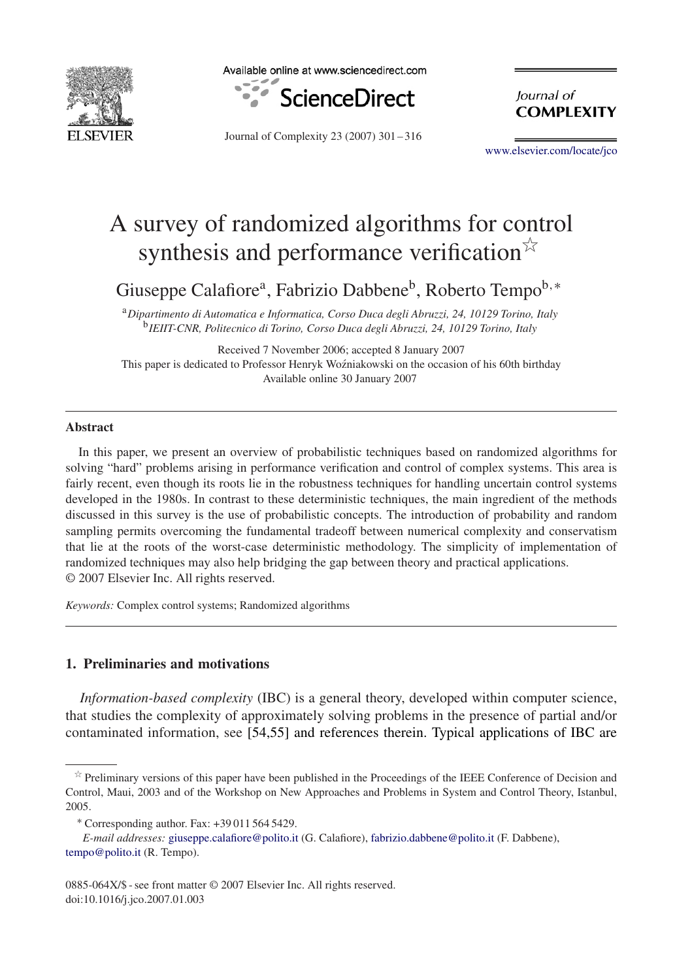

Available online at www.sciencedirect.com



Journal of Complexity 23 (2007) 301 – 316

lournal of **COMPLEXITY** 

[www.elsevier.com/locate/jco](http://www.elsevier.com/locate/jco)

# A survey of randomized algorithms for control synthesis and performance verification $\overrightarrow{x}$

Giuseppe Calafiore<sup>a</sup>, Fabrizio Dabbene<sup>b</sup>, Roberto Tempo<sup>b,∗</sup>

<sup>a</sup>*Dipartimento di Automatica e Informatica, Corso Duca degli Abruzzi, 24, 10129 Torino, Italy* <sup>b</sup>*IEIIT-CNR, Politecnico di Torino, Corso Duca degli Abruzzi, 24, 10129 Torino, Italy*

Received 7 November 2006; accepted 8 January 2007 This paper is dedicated to Professor Henryk Woźniakowski on the occasion of his 60th birthday Available online 30 January 2007

#### **Abstract**

In this paper, we present an overview of probabilistic techniques based on randomized algorithms for solving "hard" problems arising in performance verification and control of complex systems. This area is fairly recent, even though its roots lie in the robustness techniques for handling uncertain control systems developed in the 1980s. In contrast to these deterministic techniques, the main ingredient of the methods discussed in this survey is the use of probabilistic concepts. The introduction of probability and random sampling permits overcoming the fundamental tradeoff between numerical complexity and conservatism that lie at the roots of the worst-case deterministic methodology. The simplicity of implementation of randomized techniques may also help bridging the gap between theory and practical applications. © 2007 Elsevier Inc. All rights reserved.

*Keywords:* Complex control systems; Randomized algorithms

#### **1. Preliminaries and motivations**

*Information-based complexity* (IBC) is a general theory, developed within computer science, that studies the complexity of approximately solving problems in the presence of partial and/or contaminated information, see [\[54,55\]](#page-15-0) and references therein. Typical applications of IBC are

<sup>-</sup> Preliminary versions of this paper have been published in the Proceedings of the IEEE Conference of Decision and Control, Maui, 2003 and of the Workshop on New Approaches and Problems in System and Control Theory, Istanbul, 2005.

<sup>∗</sup> Corresponding author. Fax: +39 011 564 5429.

*E-mail addresses:* [giuseppe.calafiore@polito.it](mailto:giuseppe.calafiore@polito.it) (G. Calafiore), [fabrizio.dabbene@polito.it](mailto:fabrizio.dabbene@polito.it) (F. Dabbene), [tempo@polito.it](mailto:tempo@polito.it) (R. Tempo).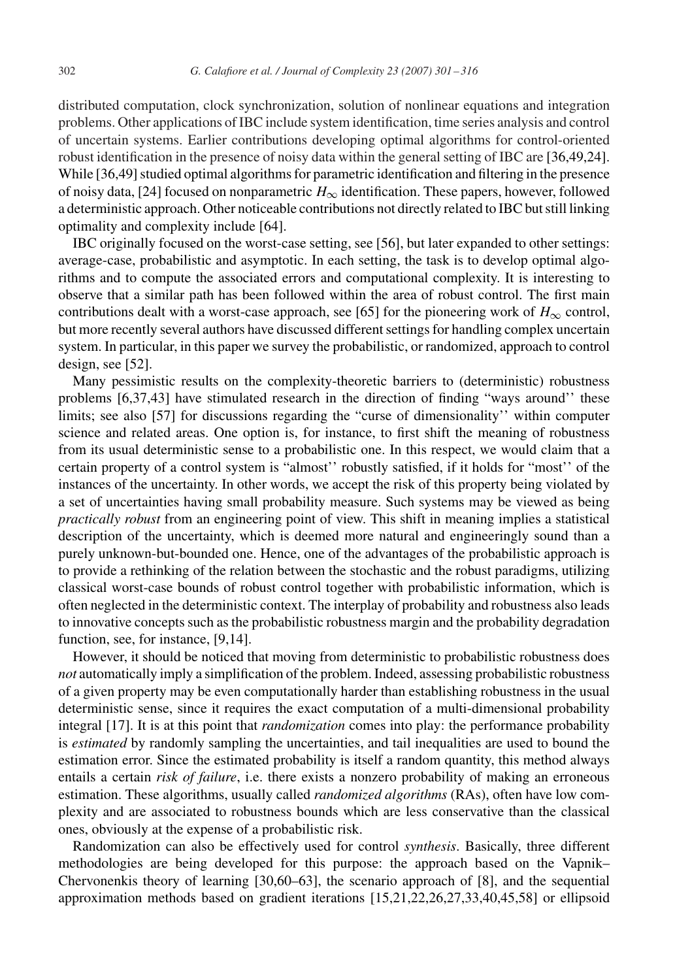distributed computation, clock synchronization, solution of nonlinear equations and integration problems. Other applications of IBC include system identification, time series analysis and control of uncertain systems. Earlier contributions developing optimal algorithms for control-oriented robust identification in the presence of noisy data within the general setting of IBC are [\[36,](#page-14-0)[49,](#page-15-0)[24\].](#page-14-0) While [\[36](#page-14-0)[,49\]](#page-15-0) studied optimal algorithms for parametric identification and filtering in the presence of noisy data, [\[24\]](#page-14-0) focused on nonparametric  $H_{\infty}$  identification. These papers, however, followed a deterministic approach. Other noticeable contributions not directly related to IBC but still linking optimality and complexity include [\[64\].](#page-15-0)

IBC originally focused on the worst-case setting, see [\[56\],](#page-15-0) but later expanded to other settings: average-case, probabilistic and asymptotic. In each setting, the task is to develop optimal algorithms and to compute the associated errors and computational complexity. It is interesting to observe that a similar path has been followed within the area of robust control. The first main contributions dealt with a worst-case approach, see [65] for the pioneering work of  $H_{\infty}$  control, but more recently several authors have discussed different settings for handling complex uncertain system. In particular, in this paper we survey the probabilistic, or randomized, approach to control design, see [\[52\].](#page-15-0)

Many pessimistic results on the complexity-theoretic barriers to (deterministic) robustness problems [\[6,](#page-13-0)[37,43\]](#page-14-0) have stimulated research in the direction of finding "ways around'' these limits; see also [\[57\]](#page-15-0) for discussions regarding the "curse of dimensionality'' within computer science and related areas. One option is, for instance, to first shift the meaning of robustness from its usual deterministic sense to a probabilistic one. In this respect, we would claim that a certain property of a control system is "almost'' robustly satisfied, if it holds for "most'' of the instances of the uncertainty. In other words, we accept the risk of this property being violated by a set of uncertainties having small probability measure. Such systems may be viewed as being *practically robust* from an engineering point of view. This shift in meaning implies a statistical description of the uncertainty, which is deemed more natural and engineeringly sound than a purely unknown-but-bounded one. Hence, one of the advantages of the probabilistic approach is to provide a rethinking of the relation between the stochastic and the robust paradigms, utilizing classical worst-case bounds of robust control together with probabilistic information, which is often neglected in the deterministic context. The interplay of probability and robustness also leads to innovative concepts such as the probabilistic robustness margin and the probability degradation function, see, for instance, [\[9,14\].](#page-13-0)

However, it should be noticed that moving from deterministic to probabilistic robustness does *not* automatically imply a simplification of the problem. Indeed, assessing probabilistic robustness of a given property may be even computationally harder than establishing robustness in the usual deterministic sense, since it requires the exact computation of a multi-dimensional probability integral [\[17\].](#page-14-0) It is at this point that *randomization* comes into play: the performance probability is *estimated* by randomly sampling the uncertainties, and tail inequalities are used to bound the estimation error. Since the estimated probability is itself a random quantity, this method always entails a certain *risk of failure*, i.e. there exists a nonzero probability of making an erroneous estimation. These algorithms, usually called *randomized algorithms* (RAs), often have low complexity and are associated to robustness bounds which are less conservative than the classical ones, obviously at the expense of a probabilistic risk.

Randomization can also be effectively used for control *synthesis*. Basically, three different methodologies are being developed for this purpose: the approach based on the Vapnik– Chervonenkis theory of learning [\[30,](#page-14-0)[60–63\],](#page-15-0) the scenario approach of [\[8\],](#page-13-0) and the sequential approximation methods based on gradient iterations [\[15,](#page-13-0)[21,22,26,27,33,40,45,](#page-14-0)[58\]](#page-15-0) or ellipsoid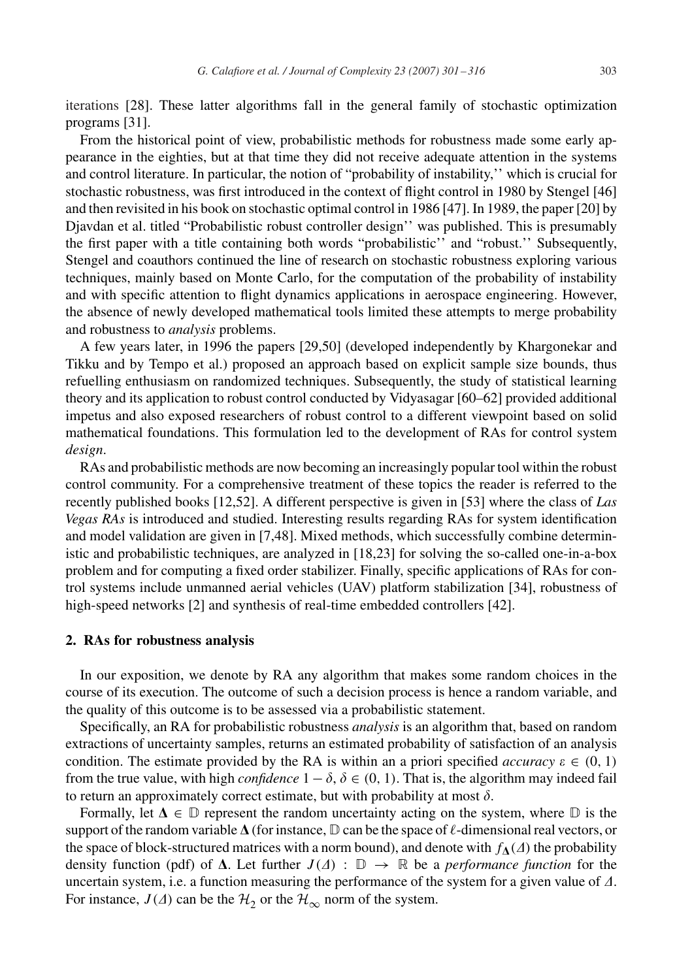iterations [\[28\].](#page-14-0) These latter algorithms fall in the general family of stochastic optimization programs [\[31\].](#page-14-0)

From the historical point of view, probabilistic methods for robustness made some early appearance in the eighties, but at that time they did not receive adequate attention in the systems and control literature. In particular, the notion of "probability of instability,'' which is crucial for stochastic robustness, was first introduced in the context of flight control in 1980 by Stengel [\[46\]](#page-14-0) and then revisited in his book on stochastic optimal control in 1986 [\[47\].](#page-14-0) In 1989, the paper [\[20\]](#page-14-0) by Djavdan et al. titled "Probabilistic robust controller design'' was published. This is presumably the first paper with a title containing both words "probabilistic'' and "robust.'' Subsequently, Stengel and coauthors continued the line of research on stochastic robustness exploring various techniques, mainly based on Monte Carlo, for the computation of the probability of instability and with specific attention to flight dynamics applications in aerospace engineering. However, the absence of newly developed mathematical tools limited these attempts to merge probability and robustness to *analysis* problems.

A few years later, in 1996 the papers [\[29](#page-14-0)[,50\]](#page-15-0) (developed independently by Khargonekar and Tikku and by Tempo et al.) proposed an approach based on explicit sample size bounds, thus refuelling enthusiasm on randomized techniques. Subsequently, the study of statistical learning theory and its application to robust control conducted by Vidyasagar [\[60–62\]](#page-15-0) provided additional impetus and also exposed researchers of robust control to a different viewpoint based on solid mathematical foundations. This formulation led to the development of RAs for control system *design*.

RAs and probabilistic methods are now becoming an increasingly popular tool within the robust control community. For a comprehensive treatment of these topics the reader is referred to the recently published books [\[12](#page-13-0)[,52\].](#page-15-0) A different perspective is given in [\[53\]](#page-15-0) where the class of *Las Vegas RAs* is introduced and studied. Interesting results regarding RAs for system identification and model validation are given in [\[7](#page-13-0)[,48\].](#page-15-0) Mixed methods, which successfully combine deterministic and probabilistic techniques, are analyzed in [\[18,23\]](#page-14-0) for solving the so-called one-in-a-box problem and for computing a fixed order stabilizer. Finally, specific applications of RAs for control systems include unmanned aerial vehicles (UAV) platform stabilization [\[34\],](#page-14-0) robustness of high-speed networks [\[2\]](#page-13-0) and synthesis of real-time embedded controllers [\[42\].](#page-14-0)

#### **2. RAs for robustness analysis**

In our exposition, we denote by RA any algorithm that makes some random choices in the course of its execution. The outcome of such a decision process is hence a random variable, and the quality of this outcome is to be assessed via a probabilistic statement.

Specifically, an RA for probabilistic robustness *analysis* is an algorithm that, based on random extractions of uncertainty samples, returns an estimated probability of satisfaction of an analysis condition. The estimate provided by the RA is within an a priori specified *accuracy*  $\varepsilon \in (0, 1)$ from the true value, with high *confidence*  $1 - \delta$ ,  $\delta \in (0, 1)$ . That is, the algorithm may indeed fail to return an approximately correct estimate, but with probability at most  $\delta$ .

Formally, let  $\Delta \in \mathbb{D}$  represent the random uncertainty acting on the system, where  $\mathbb{D}$  is the support of the random variable  $\Delta$  (for instance,  $\mathbb D$  can be the space of  $\ell$ -dimensional real vectors, or the space of block-structured matrices with a norm bound), and denote with  $f_{\Delta}(\Lambda)$  the probability density function (pdf) of  $\Delta$ . Let further  $J(\Delta)$  :  $\mathbb{D} \to \mathbb{R}$  be a *performance function* for the uncertain system, i.e. a function measuring the performance of the system for a given value of  $\Delta$ . For instance,  $J(\Delta)$  can be the  $\mathcal{H}_2$  or the  $\mathcal{H}_{\infty}$  norm of the system.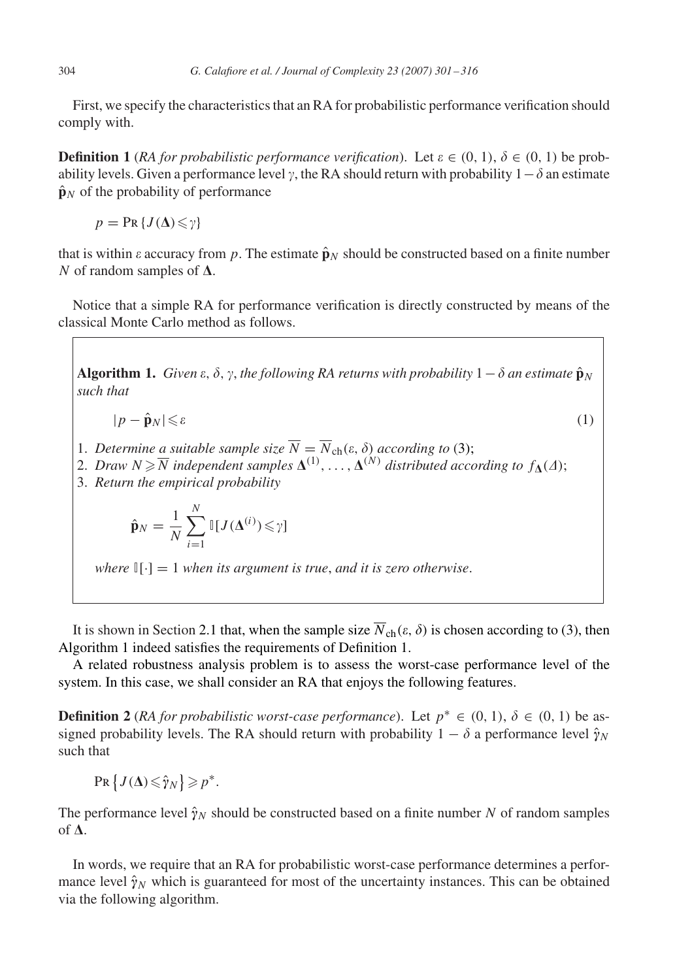<span id="page-3-0"></span>First, we specify the characteristics that an RA for probabilistic performance verification should comply with.

**Definition 1** (*RA for probabilistic performance verification*). Let  $\varepsilon \in (0, 1)$ ,  $\delta \in (0, 1)$  be probability levels. Given a performance level  $\gamma$ , the RA should return with probability  $1-\delta$  an estimate  $\hat{\mathbf{p}}_N$  of the probability of performance

 $p = \text{Pr} \{ J(\Delta) \leq \gamma \}$ 

that is within  $\varepsilon$  accuracy from p. The estimate  $\hat{\mathbf{p}}_N$  should be constructed based on a finite number  $N$  of random samples of  $\Delta$ .

Notice that a simple RA for performance verification is directly constructed by means of the classical Monte Carlo method as follows.

**Algorithm 1.** *Given*  $\varepsilon$ ,  $\delta$ ,  $\gamma$ , the following RA returns with probability 1 –  $\delta$  an estimate  $\hat{\mathbf{p}}_N$ *such that*

$$
|p - \hat{\mathbf{p}}_N| \leqslant \varepsilon \tag{1}
$$

- 1. *Determine a suitable sample size*  $\overline{N} = \overline{N}_{ch}(\varepsilon, \delta)$  *according to* [\(3\)](#page-4-0);
- 2. Draw  $N \ge \overline{N}$  independent samples  $\Delta^{(1)}, \ldots, \Delta^{(N)}$  distributed according to  $f_{\Delta}(A)$ ;
- 3. *Return the empirical probability*

$$
\hat{\mathbf{p}}_N = \frac{1}{N} \sum_{i=1}^N \mathbb{I}[J(\mathbf{\Delta}^{(i)}) \leq \gamma]
$$

*where*  $\mathbb{I}[\cdot] = 1$  *when its argument is true, and it is zero otherwise.* 

It is shown in Section [2.1](#page-4-0) that, when the sample size  $\overline{N}_{ch}(\varepsilon, \delta)$  is chosen according to [\(3\)](#page-4-0), then Algorithm 1 indeed satisfies the requirements of Definition 1.

A related robustness analysis problem is to assess the worst-case performance level of the system. In this case, we shall consider an RA that enjoys the following features.

**Definition 2** (*RA for probabilistic worst-case performance*). Let  $p^* \in (0, 1)$ ,  $\delta \in (0, 1)$  be assigned probability levels. The RA should return with probability  $1 - \delta$  a performance level  $\hat{\gamma}_N$ such that

$$
\Pr\left\{J(\Delta)\leqslant\hat{\gamma}_N\right\}\geqslant p^*.
$$

The performance level  $\hat{\gamma}_N$  should be constructed based on a finite number N of random samples of  $\Delta$ .

In words, we require that an RA for probabilistic worst-case performance determines a performance level  $\hat{\gamma}_N$  which is guaranteed for most of the uncertainty instances. This can be obtained via the following algorithm.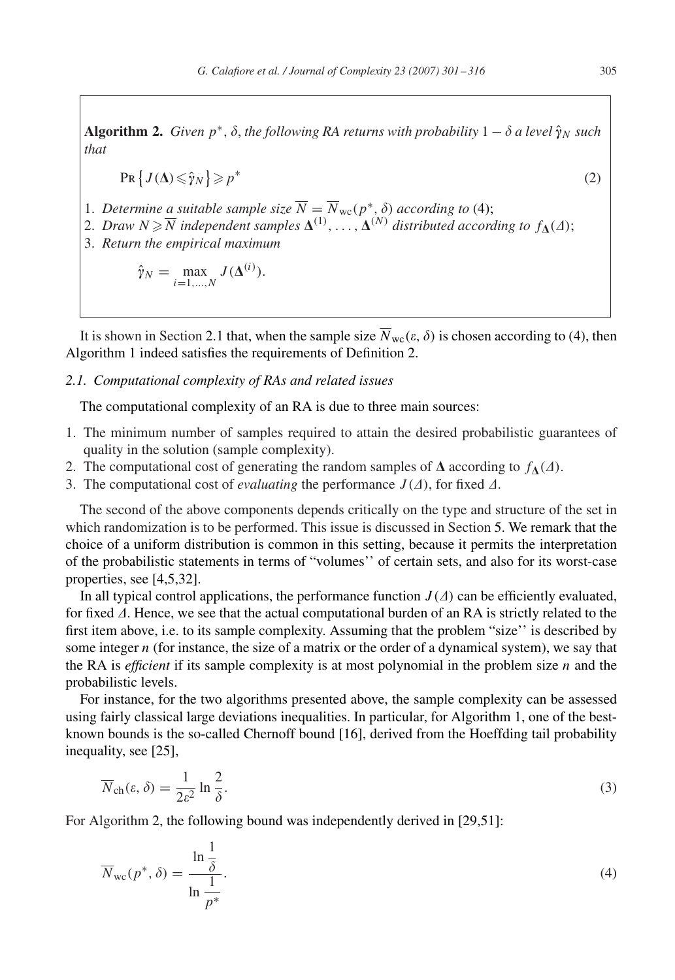<span id="page-4-0"></span>**Algorithm 2.** *Given*  $p^*$ ,  $\delta$ , *the following RA returns with probability*  $1 - \delta a$  *level*  $\hat{\gamma}_N$  *such that*

$$
\Pr\left\{J(\Delta)\leqslant\hat{\gamma}_N\right\}\geqslant p^*\tag{2}
$$

- 1. *Determine a suitable sample size*  $\overline{N} = \overline{N}_{wc}(p^*, \delta)$  *according to* (4);
- 2. *Draw*  $N \ge \overline{N}$  independent samples  $\Delta^{(1)}, \ldots, \Delta^{(N)}$  distributed according to  $f_{\Delta}(A)$ ;
- 3. *Return the empirical maximum*

$$
\hat{\gamma}_N = \max_{i=1,\dots,N} J(\Delta^{(i)}).
$$

It is shown in Section 2.1 that, when the sample size  $\overline{N}_{wc}(\varepsilon, \delta)$  is chosen according to (4), then Algorithm [1](#page-3-0) indeed satisfies the requirements of Definition [2.](#page-3-0)

#### *2.1. Computational complexity of RAs and related issues*

The computational complexity of an RA is due to three main sources:

- 1. The minimum number of samples required to attain the desired probabilistic guarantees of quality in the solution (sample complexity).
- 2. The computational cost of generating the random samples of  $\Delta$  according to  $f_{\Delta}(\Delta)$ .
- 3. The computational cost of *evaluating* the performance  $J(\Lambda)$ , for fixed  $\Lambda$ .

The second of the above components depends critically on the type and structure of the set in which randomization is to be performed. This issue is discussed in Section [5.](#page-11-0) We remark that the choice of a uniform distribution is common in this setting, because it permits the interpretation of the probabilistic statements in terms of "volumes'' of certain sets, and also for its worst-case properties, see [\[4,5,](#page-13-0)[32\].](#page-14-0)

In all typical control applications, the performance function  $J(\Lambda)$  can be efficiently evaluated, for fixed  $\Delta$ . Hence, we see that the actual computational burden of an RA is strictly related to the first item above, i.e. to its sample complexity. Assuming that the problem "size'' is described by some integer  $n$  (for instance, the size of a matrix or the order of a dynamical system), we say that the RA is *efficient* if its sample complexity is at most polynomial in the problem size  $n$  and the probabilistic levels.

For instance, for the two algorithms presented above, the sample complexity can be assessed using fairly classical large deviations inequalities. In particular, for Algorithm [1,](#page-3-0) one of the bestknown bounds is the so-called Chernoff bound [\[16\],](#page-14-0) derived from the Hoeffding tail probability inequality, see [\[25\],](#page-14-0)

$$
\overline{N}_{\text{ch}}(\varepsilon,\delta) = \frac{1}{2\varepsilon^2} \ln \frac{2}{\delta}.\tag{3}
$$

For Algorithm 2, the following bound was independently derived in [\[29](#page-14-0)[,51\]:](#page-15-0)

$$
\overline{N}_{wc}(p^*, \delta) = \frac{\ln \frac{1}{\delta}}{\ln \frac{1}{p^*}}.
$$
\n(4)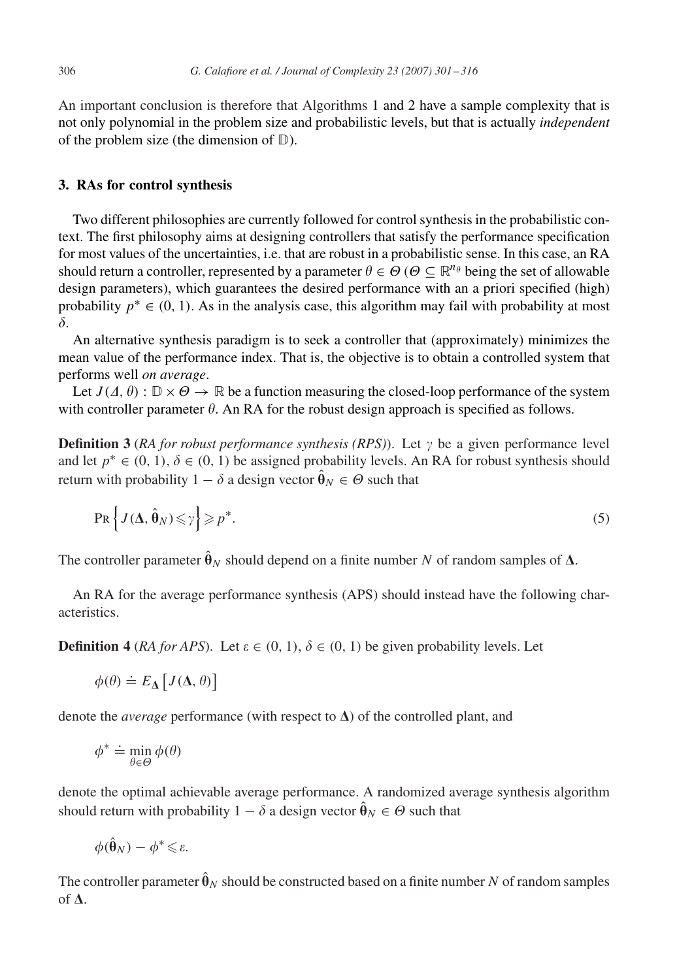<span id="page-5-0"></span>An important conclusion is therefore that Algorithms [1](#page-3-0) and [2](#page-4-0) have a sample complexity that is not only polynomial in the problem size and probabilistic levels, but that is actually *independent* of the problem size (the dimension of D).

#### **3. RAs for control synthesis**

Two different philosophies are currently followed for control synthesis in the probabilistic context. The first philosophy aims at designing controllers that satisfy the performance specification for most values of the uncertainties, i.e. that are robust in a probabilistic sense. In this case, an RA should return a controller, represented by a parameter  $\theta \in \Theta$  ( $\Theta \subseteq \mathbb{R}^{n_{\theta}}$  being the set of allowable design parameters), which guarantees the desired performance with an a priori specified (high) probability  $p^* \in (0, 1)$ . As in the analysis case, this algorithm may fail with probability at most  $\delta$ .

An alternative synthesis paradigm is to seek a controller that (approximately) minimizes the mean value of the performance index. That is, the objective is to obtain a controlled system that performs well *on average*.

Let  $J(\Lambda, \theta) : \mathbb{D} \times \Theta \to \mathbb{R}$  be a function measuring the closed-loop performance of the system with controller parameter  $\theta$ . An RA for the robust design approach is specified as follows.

**Definition 3** (*RA for robust performance synthesis (RPS)*). Let  $\gamma$  be a given performance level and let  $p^* \in (0, 1), \delta \in (0, 1)$  be assigned probability levels. An RA for robust synthesis should return with probability 1 –  $\delta$  a design vector  $\hat{\theta}_N \in \Theta$  such that

$$
\Pr\left\{J(\Delta, \hat{\theta}_N) \leqslant \gamma\right\} \geqslant p^*.\tag{5}
$$

The controller parameter  $\hat{\theta}_N$  should depend on a finite number N of random samples of  $\Delta$ .

An RA for the average performance synthesis (APS) should instead have the following characteristics.

**Definition 4** (*RA for APS*). Let  $\varepsilon \in (0, 1)$ ,  $\delta \in (0, 1)$  be given probability levels. Let

$$
\phi(\theta) \doteq E_{\Delta} [J(\Delta, \theta)]
$$

denote the *average* performance (with respect to **-**) of the controlled plant, and

$$
\phi^* \doteq \min_{\theta \in \Theta} \phi(\theta)
$$

denote the optimal achievable average performance. A randomized average synthesis algorithm should return with probability  $1 - \delta$  a design vector  $\hat{\theta}_N \in \Theta$  such that

$$
\phi(\hat{\theta}_N) - \phi^* \leq \varepsilon.
$$

The controller parameter  $\hat{\theta}_N$  should be constructed based on a finite number N of random samples of  $\Lambda$ .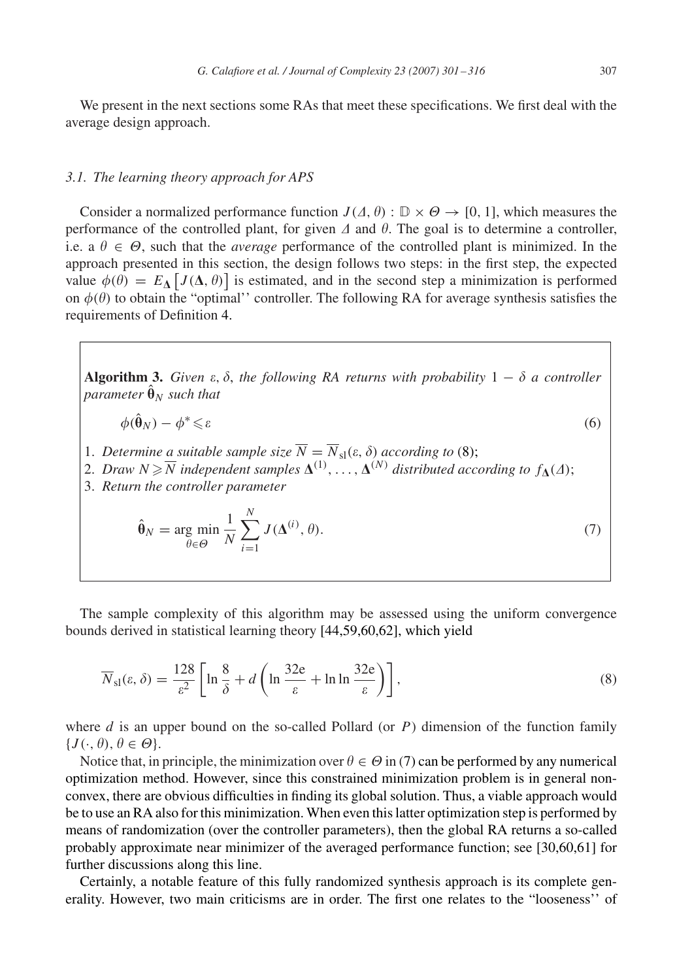<span id="page-6-0"></span>We present in the next sections some RAs that meet these specifications. We first deal with the average design approach.

## *3.1. The learning theory approach for APS*

Consider a normalized performance function  $J(\Lambda, \theta) : \mathbb{D} \times \Theta \to [0, 1]$ , which measures the performance of the controlled plant, for given  $\Delta$  and  $\theta$ . The goal is to determine a controller, i.e. a  $\theta \in \Theta$ , such that the *average* performance of the controlled plant is minimized. In the approach presented in this section, the design follows two steps: in the first step, the expected value  $\phi(\theta) = E_{\Delta} [J(\Delta, \theta)]$  is estimated, and in the second step a minimization is performed on  $\phi(\theta)$  to obtain the "optimal'' controller. The following RA for average synthesis satisfies the requirements of Definition [4.](#page-5-0)

**Algorithm 3.** *Given*  $\varepsilon$ ,  $\delta$ , *the following RA returns with probability*  $1 - \delta$  *a controller parameter*  $\hat{\mathbf{\theta}}_N$  *such that* 

$$
\phi(\hat{\theta}_N) - \phi^* \leq \varepsilon \tag{6}
$$

- 1. *Determine a suitable sample size*  $\overline{N} = \overline{N}_{\text{sl}}(\varepsilon, \delta)$  *according to* (8);
- 2. *Draw*  $N \ge \overline{N}$  independent samples  $\Delta^{(1)}, \ldots, \Delta^{(N)}$  distributed according to  $f_{\Delta}(A)$ ;
- 3. *Return the controller parameter*

$$
\hat{\theta}_N = \underset{\theta \in \Theta}{\arg \min} \frac{1}{N} \sum_{i=1}^N J(\Delta^{(i)}, \theta). \tag{7}
$$

The sample complexity of this algorithm may be assessed using the uniform convergence bounds derived in statistical learning theory [\[44,](#page-14-0)[59,60,62\],](#page-15-0) which yield

$$
\overline{N}_{\rm sl}(\varepsilon,\delta) = \frac{128}{\varepsilon^2} \left[ \ln \frac{8}{\delta} + d \left( \ln \frac{32e}{\varepsilon} + \ln \ln \frac{32e}{\varepsilon} \right) \right],\tag{8}
$$

where  $d$  is an upper bound on the so-called Pollard (or  $P$ ) dimension of the function family  ${J(\cdot, \theta), \theta \in \Theta}.$ 

Notice that, in principle, the minimization over  $\theta \in \Theta$  in (7) can be performed by any numerical optimization method. However, since this constrained minimization problem is in general nonconvex, there are obvious difficulties in finding its global solution. Thus, a viable approach would be to use an RA also for this minimization. When even this latter optimization step is performed by means of randomization (over the controller parameters), then the global RA returns a so-called probably approximate near minimizer of the averaged performance function; see [\[30,](#page-14-0)[60,61\]](#page-15-0) for further discussions along this line.

Certainly, a notable feature of this fully randomized synthesis approach is its complete generality. However, two main criticisms are in order. The first one relates to the "looseness'' of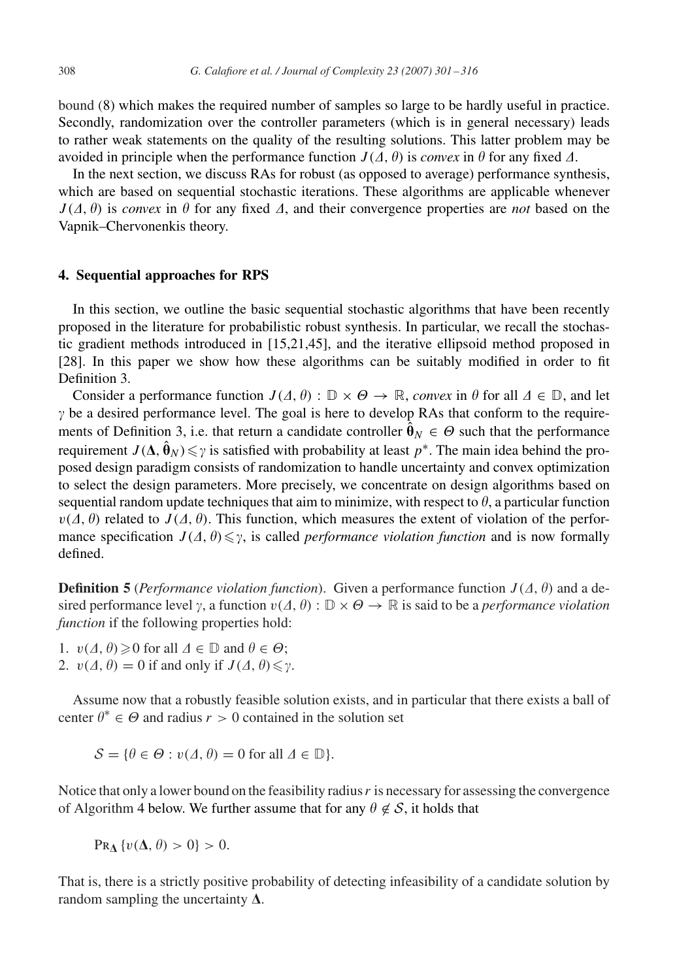bound [\(8\)](#page-6-0) which makes the required number of samples so large to be hardly useful in practice. Secondly, randomization over the controller parameters (which is in general necessary) leads to rather weak statements on the quality of the resulting solutions. This latter problem may be avoided in principle when the performance function  $J(\Lambda, \theta)$  is *convex* in  $\theta$  for any fixed  $\Lambda$ .

In the next section, we discuss RAs for robust (as opposed to average) performance synthesis, which are based on sequential stochastic iterations. These algorithms are applicable whenever  $J(\Lambda, \theta)$  is *convex* in  $\theta$  for any fixed  $\Lambda$ , and their convergence properties are *not* based on the Vapnik–Chervonenkis theory.

## **4. Sequential approaches for RPS**

In this section, we outline the basic sequential stochastic algorithms that have been recently proposed in the literature for probabilistic robust synthesis. In particular, we recall the stochastic gradient methods introduced in [\[15,](#page-13-0)[21,45\],](#page-14-0) and the iterative ellipsoid method proposed in [\[28\].](#page-14-0) In this paper we show how these algorithms can be suitably modified in order to fit Definition [3.](#page-5-0)

Consider a performance function  $J(\Lambda, \theta) : \mathbb{D} \times \Theta \to \mathbb{R}$ , *convex* in  $\theta$  for all  $\Lambda \in \mathbb{D}$ , and let  $\gamma$  be a desired performance level. The goal is here to develop RAs that conform to the require-ments of Definition [3,](#page-5-0) i.e. that return a candidate controller  $\hat{\theta}_N \in \Theta$  such that the performance requirement  $J(\Delta, \hat{\theta}_N) \le \gamma$  is satisfied with probability at least  $p^*$ . The main idea behind the proposed design paradigm consists of randomization to handle uncertainty and convex optimization to select the design parameters. More precisely, we concentrate on design algorithms based on sequential random update techniques that aim to minimize, with respect to  $\theta$ , a particular function  $v(\Lambda, \theta)$  related to  $J(\Lambda, \theta)$ . This function, which measures the extent of violation of the performance specification  $J(\Lambda, \theta) \leq \gamma$ , is called *performance violation function* and is now formally defined.

**Definition 5** (*Performance violation function*). Given a performance function  $J(\Lambda, \theta)$  and a desired performance level  $\gamma$ , a function  $v(\Lambda, \theta) : \mathbb{D} \times \Theta \to \mathbb{R}$  is said to be a *performance violation function* if the following properties hold:

1.  $v(\Delta, \theta) \geq 0$  for all  $\Delta \in \mathbb{D}$  and  $\theta \in \Theta$ ; 2.  $v(\Delta, \theta) = 0$  if and only if  $J(\Delta, \theta) \le \gamma$ .

Assume now that a robustly feasible solution exists, and in particular that there exists a ball of center  $\theta^* \in \Theta$  and radius  $r > 0$  contained in the solution set

 $S = \{ \theta \in \Theta : v(\Delta, \theta) = 0 \text{ for all } \Delta \in \mathbb{D} \}.$ 

Notice that only a lower bound on the feasibility radius  $r$  is necessary for assessing the convergence of Algorithm [4](#page-8-0) below. We further assume that for any  $\theta \notin S$ , it holds that

 $\text{PR}_{\Delta} \{ v(\Delta, \theta) > 0 \} > 0.$ 

That is, there is a strictly positive probability of detecting infeasibility of a candidate solution by random sampling the uncertainty  $\Delta$ .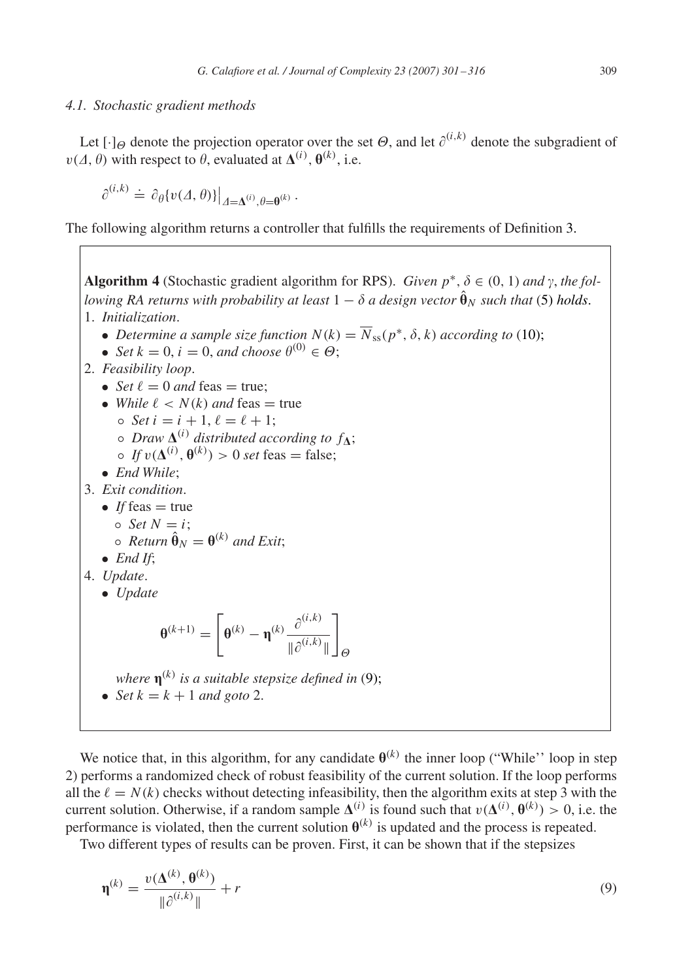## <span id="page-8-0"></span>*4.1. Stochastic gradient methods*

Let  $[\cdot]_{\Theta}$  denote the projection operator over the set  $\Theta$ , and let  $\partial^{(i,k)}$  denote the subgradient of  $v(\Lambda, \theta)$  with respect to  $\theta$ , evaluated at  $\Lambda^{(i)}$ ,  $\theta^{(k)}$ , i.e.

$$
\partial^{(i,k)} \doteq \left. \partial_\theta \{ v(\varDelta,\theta) \} \right|_{\varDelta = \Delta^{(i)}, \theta = \theta^{(k)}}.
$$

The following algorithm returns a controller that fulfills the requirements of Definition [3.](#page-5-0)

**Algorithm 4** (Stochastic gradient algorithm for RPS). *Given*  $p^*, \delta \in (0, 1)$  *and*  $\gamma$ *, the following RA returns with probability at least*  $1 - \delta a$  *design vector*  $\hat{\theta}_N$  *such that* [\(5\)](#page-5-0) *holds.* 1. *Initialization*. • Determine a sample size function  $N(k) = \overline{N}_{ss}(p^*, \delta, k)$  according to [\(10\)](#page-9-0); • *Set*  $k = 0$ ,  $i = 0$ , and choose  $\theta^{(0)} \in \Theta$ ; 2. *Feasibility loop*. • *Set*  $\ell = 0$  *and* feas = true; • *While*  $\ell$  < *N*(*k*) *and* feas = true  $\circ$  *Set*  $i = i + 1, \ell = \ell + 1;$  $\circ$  *Draw*  $\underline{\Lambda}^{(i)}$  *distributed according to*  $f_{\underline{\Lambda}}$ ;  $\circ$  *If*  $v(\Delta^{(i)}, \theta^{(k)}) > 0$  *set* feas = false; • *End While*; 3. *Exit condition*. • *If* feas  $=$  true  $\circ$  *Set*  $N = i$ ;  $\hat{\mathbf{e}}$  *Return*  $\hat{\mathbf{\theta}}_N = \mathbf{\theta}^{(k)}$  *and Exit*; • *End If*; 4. *Update*. • *Update*  $\mathbf{\theta}^{(k+1)} = \begin{bmatrix} \mathbf{\theta}^{(k)} - \mathbf{\eta}^{(k)} \frac{\partial^{(i,k)}}{\partial^{(i,k)}} \end{bmatrix}$  $\overline{\|\partial^{(i,k)}\|}$ ٦  $\Theta$ *where*  $\mathbf{\eta}^{(k)}$  *is a suitable stepsize defined in* (9); • *Set*  $k = k + 1$  *and goto* 2.

We notice that, in this algorithm, for any candidate  $\theta^{(k)}$  the inner loop ("While" loop in step 2) performs a randomized check of robust feasibility of the current solution. If the loop performs all the  $\ell = N(k)$  checks without detecting infeasibility, then the algorithm exits at step 3 with the current solution. Otherwise, if a random sample  $\Delta^{(i)}$  is found such that  $v(\Delta^{(i)}, \theta^{(k)}) > 0$ , i.e. the performance is violated, then the current solution  $\theta^{(k)}$  is updated and the process is repeated.

Two different types of results can be proven. First, it can be shown that if the stepsizes

$$
\mathbf{\eta}^{(k)} = \frac{v(\mathbf{\Delta}^{(k)}, \mathbf{\theta}^{(k)})}{\|\partial^{(i,k)}\|} + r
$$
\n(9)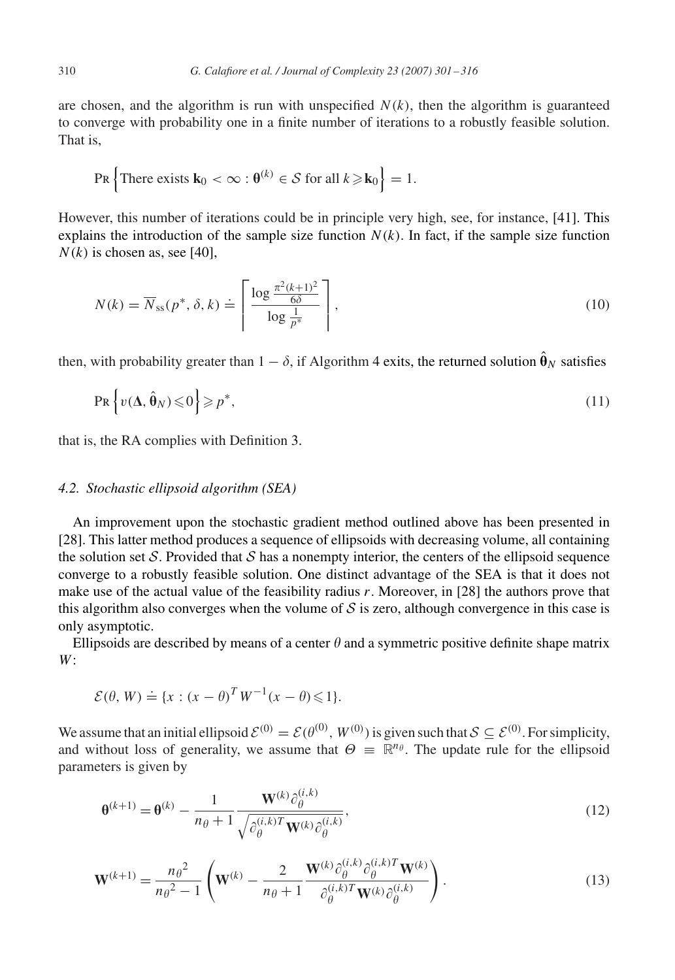<span id="page-9-0"></span>are chosen, and the algorithm is run with unspecified  $N(k)$ , then the algorithm is guaranteed to converge with probability one in a finite number of iterations to a robustly feasible solution. That is,

$$
\Pr\left\{\text{There exists } \mathbf{k}_0 < \infty : \boldsymbol{\theta}^{(k)} \in \mathcal{S} \text{ for all } k \geqslant \mathbf{k}_0 \right\} = 1.
$$

However, this number of iterations could be in principle very high, see, for instance, [\[41\].](#page-14-0) This explains the introduction of the sample size function  $N(k)$ . In fact, if the sample size function  $N(k)$  is chosen as, see [\[40\],](#page-14-0)

$$
N(k) = \overline{N}_{ss}(p^*, \delta, k) \doteq \left\lceil \frac{\log \frac{\pi^2 (k+1)^2}{6\delta}}{\log \frac{1}{p^*}} \right\rceil,
$$
\n(10)

then, with probability greater than  $1 - \delta$ , if Algorithm [4](#page-8-0) exits, the returned solution  $\hat{\mathbf{\theta}}_N$  satisfies

$$
\Pr\left\{v(\Delta, \hat{\theta}_N) \leqslant 0\right\} \geqslant p^*,\tag{11}
$$

that is, the RA complies with Definition [3.](#page-5-0)

## *4.2. Stochastic ellipsoid algorithm (SEA)*

An improvement upon the stochastic gradient method outlined above has been presented in [\[28\].](#page-14-0) This latter method produces a sequence of ellipsoids with decreasing volume, all containing the solution set S. Provided that S has a nonempty interior, the centers of the ellipsoid sequence converge to a robustly feasible solution. One distinct advantage of the SEA is that it does not make use of the actual value of the feasibility radius  $r$ . Moreover, in [\[28\]](#page-14-0) the authors prove that this algorithm also converges when the volume of  $S$  is zero, although convergence in this case is only asymptotic.

Ellipsoids are described by means of a center  $\theta$  and a symmetric positive definite shape matrix W:

$$
\mathcal{E}(\theta, W) \doteq \{x : (x - \theta)^T W^{-1} (x - \theta) \leq 1\}.
$$

We assume that an initial ellipsoid  $\mathcal{E}^{(0)} = \mathcal{E}(\theta^{(0)}, W^{(0)})$  is given such that  $\mathcal{S} \subseteq \mathcal{E}^{(0)}$ . For simplicity, and without loss of generality, we assume that  $\Theta = \mathbb{R}^{n_{\theta}}$ . The update rule for the ellipsoid parameters is given by

$$
\mathbf{\theta}^{(k+1)} = \mathbf{\theta}^{(k)} - \frac{1}{n_{\theta} + 1} \frac{\mathbf{W}^{(k)} \partial_{\theta}^{(i,k)}}{\sqrt{\partial_{\theta}^{(i,k)} \mathbf{W}^{(k)} \partial_{\theta}^{(i,k)}}},
$$
(12)

$$
\mathbf{W}^{(k+1)} = \frac{n_{\theta}^{2}}{n_{\theta}^{2} - 1} \left( \mathbf{W}^{(k)} - \frac{2}{n_{\theta} + 1} \frac{\mathbf{W}^{(k)} \partial_{\theta}^{(i,k)} \partial_{\theta}^{(i,k)T} \mathbf{W}^{(k)}}{\partial_{\theta}^{(i,k)T} \mathbf{W}^{(k)} \partial_{\theta}^{(i,k)}} \right).
$$
(13)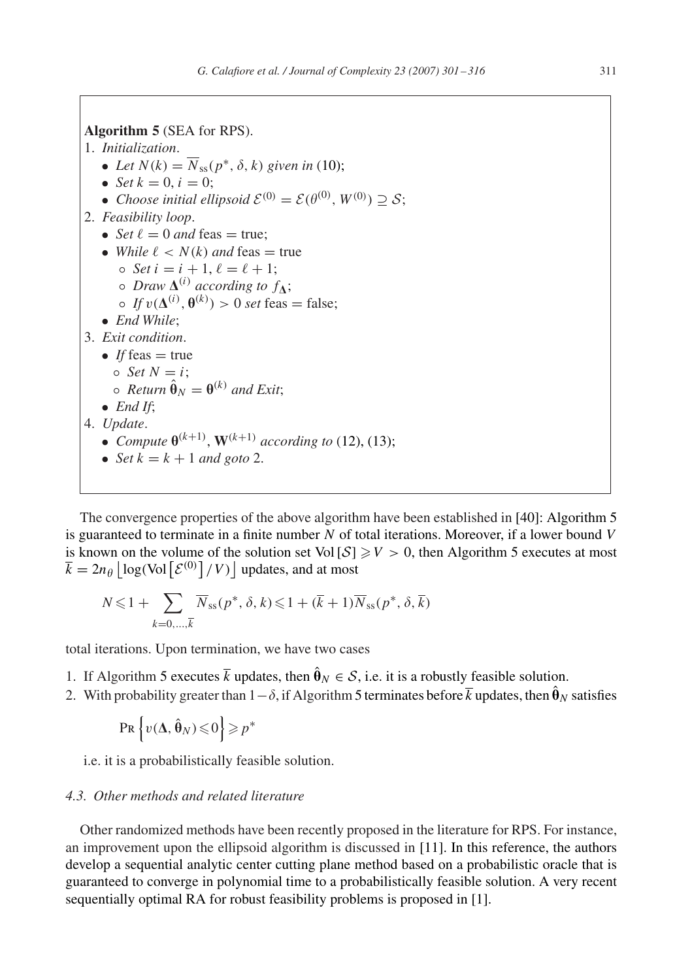## **Algorithm 5** (SEA for RPS).

```
1. Initialization.
```
- Let  $N(k) = \overline{N}_{ss}(p^*, \delta, k)$  given in [\(10\)](#page-9-0);
- *Set*  $k = 0$ ,  $i = 0$ ;
- *Choose initial ellipsoid*  $\mathcal{E}^{(0)} = \mathcal{E}(\theta^{(0)}, W^{(0)}) \supseteq \mathcal{S}$ ;
- 2. *Feasibility loop*.
	- *Set*  $\ell = 0$  *and* feas = true;
	- *While*  $\ell$  < *N*(*k*) *and* feas = true
		- $\circ$  *Set*  $i = i + 1, \ell = \ell + 1;$
		- $\circ$  *Draw*  $\Delta^{(i)}$  *according to*  $f_{\Delta}$ ;
		- $\circ$  *If*  $v(\Delta^{(i)}, \theta^{(k)}) > 0$  *set* feas = false;
	- *End While*;
- 3. *Exit condition*.
- *If* feas  $=$  true
	- $\circ$  *Set*  $N = i$ ;

$$
\circ \ \textit{Return } \hat{\theta}_N = \theta^{(k)} \textit{ and } \textit{Exit};
$$

- *End If*;
- 4. *Update*.
	- *Compute*  $\theta^{(k+1)}$ ,  $W^{(k+1)}$  *according to* [\(12\)](#page-9-0), [\(13\)](#page-9-0);
	- *Set*  $k = k + 1$  *and goto* 2.

The convergence properties of the above algorithm have been established in [\[40\]:](#page-14-0) Algorithm 5 is guaranteed to terminate in a finite number  $N$  of total iterations. Moreover, if a lower bound  $V$ is known on the volume of the solution set Vol  $|S| \ge V > 0$ , then Algorithm 5 executes at most  $\overline{k} = 2n_\theta \left[ \log(\text{Vol}\left[\mathcal{E}^{(0)}\right]/V) \right]$  updates, and at most

$$
N \leq 1 + \sum_{k=0,\dots,\overline{k}} \overline{N}_{ss}(p^*, \delta, k) \leq 1 + (\overline{k} + 1) \overline{N}_{ss}(p^*, \delta, \overline{k})
$$

total iterations. Upon termination, we have two cases

- 1. If Algorithm 5 executes  $\bar{k}$  updates, then  $\hat{\theta}_N \in S$ , i.e. it is a robustly feasible solution.
- 2. With probability greater than  $1-\delta$ , if Algorithm 5 terminates before  $\bar{k}$  updates, then  $\hat{\theta}_N$  satisfies

$$
\Pr\left\{v(\mathbf{\Delta},\hat{\boldsymbol{\theta}}_N)\leqslant 0\right\}\geqslant p^*
$$

i.e. it is a probabilistically feasible solution.

## *4.3. Other methods and related literature*

Other randomized methods have been recently proposed in the literature for RPS. For instance, an improvement upon the ellipsoid algorithm is discussed in [\[11\].](#page-13-0) In this reference, the authors develop a sequential analytic center cutting plane method based on a probabilistic oracle that is guaranteed to converge in polynomial time to a probabilistically feasible solution. A very recent sequentially optimal RA for robust feasibility problems is proposed in [\[1\].](#page-13-0)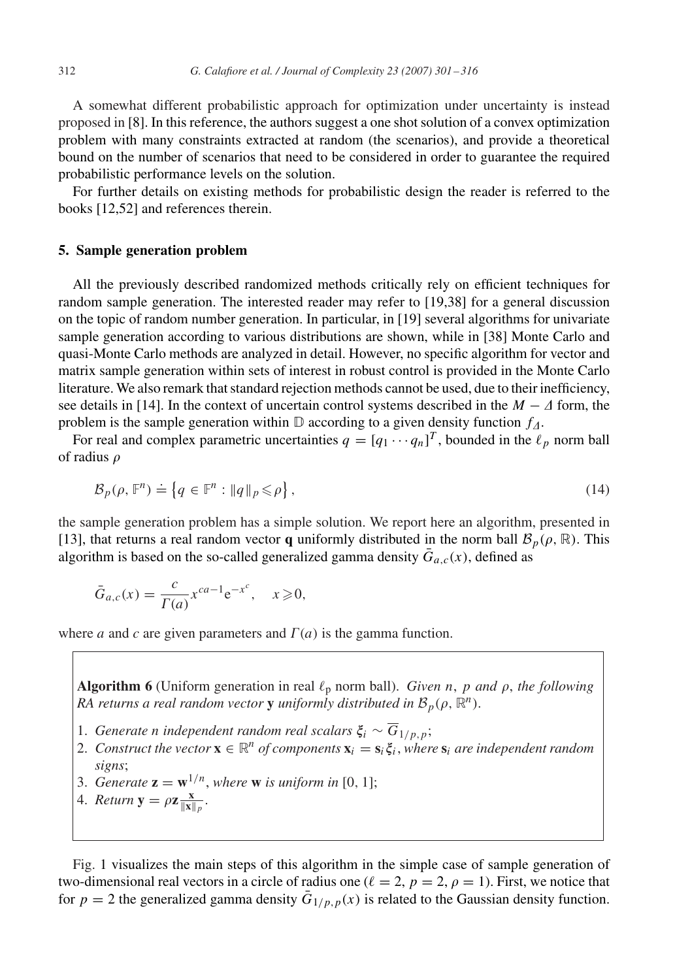<span id="page-11-0"></span>A somewhat different probabilistic approach for optimization under uncertainty is instead proposed in [\[8\].](#page-13-0) In this reference, the authors suggest a one shot solution of a convex optimization problem with many constraints extracted at random (the scenarios), and provide a theoretical bound on the number of scenarios that need to be considered in order to guarantee the required probabilistic performance levels on the solution.

For further details on existing methods for probabilistic design the reader is referred to the books [\[12](#page-13-0)[,52\]](#page-15-0) and references therein.

#### **5. Sample generation problem**

All the previously described randomized methods critically rely on efficient techniques for random sample generation. The interested reader may refer to [\[19,38\]](#page-14-0) for a general discussion on the topic of random number generation. In particular, in [\[19\]](#page-14-0) several algorithms for univariate sample generation according to various distributions are shown, while in [\[38\]](#page-14-0) Monte Carlo and quasi-Monte Carlo methods are analyzed in detail. However, no specific algorithm for vector and matrix sample generation within sets of interest in robust control is provided in the Monte Carlo literature. We also remark that standard rejection methods cannot be used, due to their inefficiency, see details in [\[14\].](#page-13-0) In the context of uncertain control systems described in the  $M - \Delta$  form, the problem is the sample generation within  $\mathbb D$  according to a given density function  $f_A$ .

For real and complex parametric uncertainties  $q = [q_1 \cdots q_n]^T$ , bounded in the  $\ell_p$  norm ball of radius  $\rho$ 

$$
\mathcal{B}_p(\rho, \mathbb{F}^n) \doteq \{ q \in \mathbb{F}^n : \|q\|_p \leqslant \rho \},\tag{14}
$$

the sample generation problem has a simple solution. We report here an algorithm, presented in [\[13\],](#page-13-0) that returns a real random vector **q** uniformly distributed in the norm ball  $\mathcal{B}_p(\rho, \mathbb{R})$ . This algorithm is based on the so-called generalized gamma density  $G_{a,c}(x)$ , defined as

$$
\bar{G}_{a,c}(x) = \frac{c}{\Gamma(a)} x^{ca-1} e^{-x^c}, \quad x \geq 0,
$$

where a and c are given parameters and  $\Gamma(a)$  is the gamma function.

**Algorithm 6** (Uniform generation in real  $\ell_p$  norm ball). *Given n, p and*  $\rho$ *, the following RA returns a real random vector* **y** *uniformly distributed in*  $B_p(\rho, \mathbb{R}^n)$ *.* 

- 1. *Generate n independent random real scalars*  $\xi$ <sub>*i*</sub> ∼  $\overline{G}$ <sub>1/*p*,*p*;</sub>
- 2. *Construct the vector*  $\mathbf{x} \in \mathbb{R}^n$  *of components*  $\mathbf{x}_i = \mathbf{s}_i \xi_i$ , where  $\mathbf{s}_i$  are independent random *signs*;
- 3. *Generate*  $\mathbf{z} = \mathbf{w}^{1/n}$ *, where* **w** *is uniform in* [0, 1];
- 4. *Return*  $\mathbf{y} = \rho \mathbf{z} \frac{\mathbf{x}}{\|\mathbf{x}\|_p}$ .

Fig. [1](#page-12-0) visualizes the main steps of this algorithm in the simple case of sample generation of two-dimensional real vectors in a circle of radius one ( $\ell = 2$ ,  $p = 2$ ,  $\rho = 1$ ). First, we notice that for  $p = 2$  the generalized gamma density  $\bar{G}_{1/p, p}(x)$  is related to the Gaussian density function.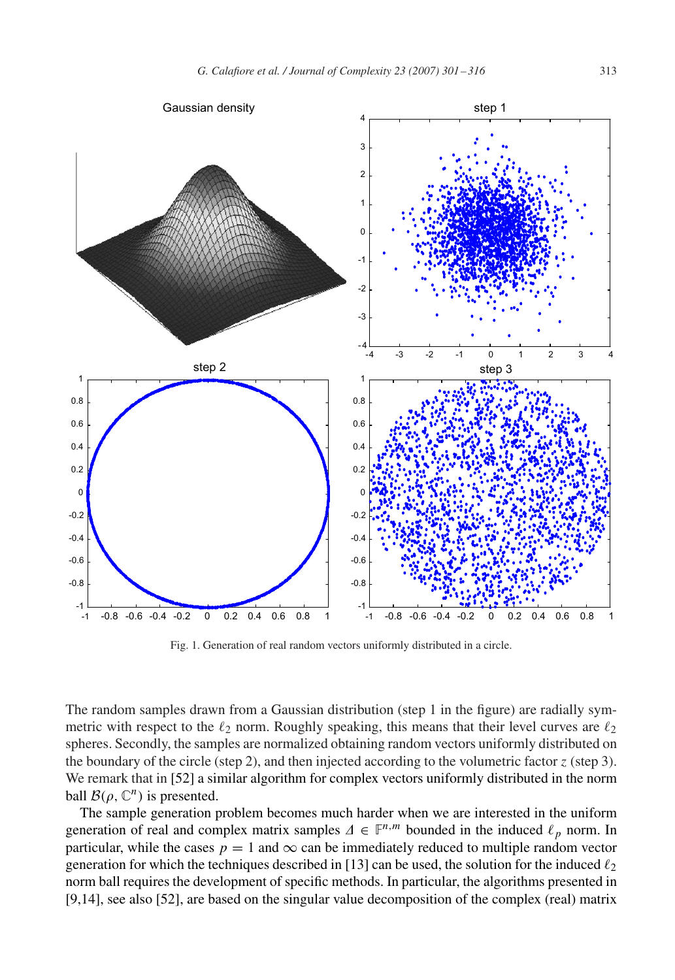<span id="page-12-0"></span>

Fig. 1. Generation of real random vectors uniformly distributed in a circle.

The random samples drawn from a Gaussian distribution (step 1 in the figure) are radially symmetric with respect to the  $\ell_2$  norm. Roughly speaking, this means that their level curves are  $\ell_2$ spheres. Secondly, the samples are normalized obtaining random vectors uniformly distributed on the boundary of the circle (step 2), and then injected according to the volumetric factor  $z$  (step 3). We remark that in [\[52\]](#page-15-0) a similar algorithm for complex vectors uniformly distributed in the norm ball  $\mathcal{B}(\rho, \mathbb{C}^n)$  is presented.

The sample generation problem becomes much harder when we are interested in the uniform generation of real and complex matrix samples  $\Lambda \in \mathbb{F}^{n,m}$  bounded in the induced  $\ell_p$  norm. In particular, while the cases  $p = 1$  and  $\infty$  can be immediately reduced to multiple random vector generation for which the techniques described in [\[13\]](#page-13-0) can be used, the solution for the induced  $\ell_2$ norm ball requires the development of specific methods. In particular, the algorithms presented in [\[9,14\],](#page-13-0) see also [\[52\],](#page-15-0) are based on the singular value decomposition of the complex (real) matrix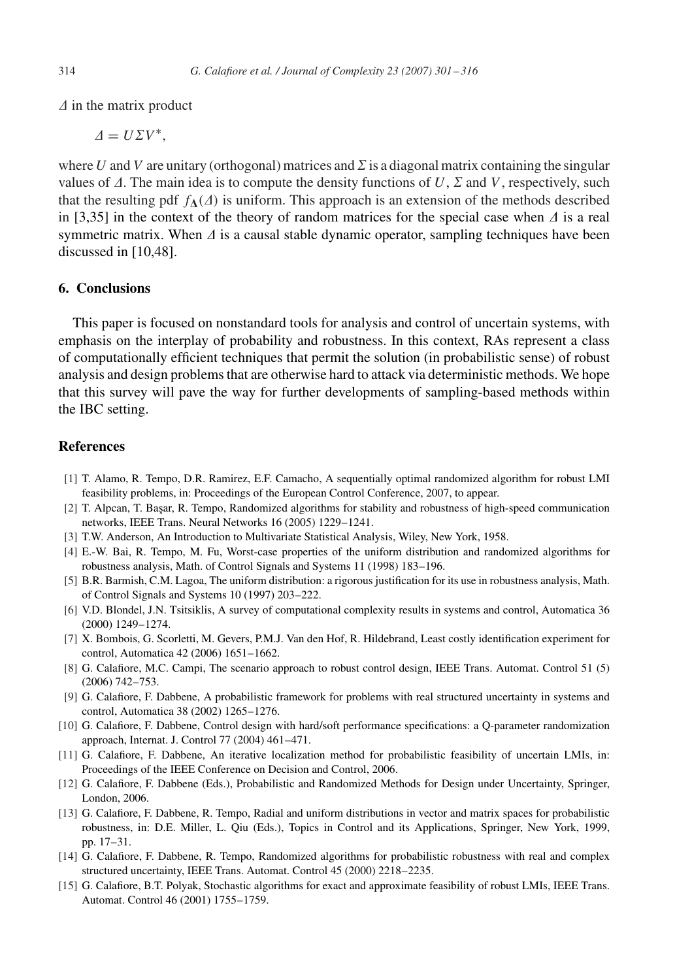<span id="page-13-0"></span> $\Delta$  in the matrix product

$$
\Delta = U \Sigma V^*,
$$

where U and V are unitary (orthogonal) matrices and  $\Sigma$  is a diagonal matrix containing the singular values of  $\Delta$ . The main idea is to compute the density functions of U,  $\Sigma$  and V, respectively, such that the resulting pdf  $f_{\mathbf{\Lambda}}(A)$  is uniform. This approach is an extension of the methods described in [[3,35\]](#page-14-0) in the context of the theory of random matrices for the special case when  $\Delta$  is a real symmetric matrix. When  $\Delta$  is a causal stable dynamic operator, sampling techniques have been discussed in [1[0,48\].](#page-15-0)

## **6. Conclusions**

This paper is focused on nonstandard tools for analysis and control of uncertain systems, with emphasis on the interplay of probability and robustness. In this context, RAs represent a class of computationally efficient techniques that permit the solution (in probabilistic sense) of robust analysis and design problems that are otherwise hard to attack via deterministic methods. We hope that this survey will pave the way for further developments of sampling-based methods within the IBC setting.

#### **References**

- [1] T. Alamo, R. Tempo, D.R. Ramirez, E.F. Camacho, A sequentially optimal randomized algorithm for robust LMI feasibility problems, in: Proceedings of the European Control Conference, 2007, to appear.
- [2] T. Alpcan, T. Başar, R. Tempo, Randomized algorithms for stability and robustness of high-speed communication networks, IEEE Trans. Neural Networks 16 (2005) 1229–1241.
- [3] T.W. Anderson, An Introduction to Multivariate Statistical Analysis, Wiley, New York, 1958.
- [4] E.-W. Bai, R. Tempo, M. Fu, Worst-case properties of the uniform distribution and randomized algorithms for robustness analysis, Math. of Control Signals and Systems 11 (1998) 183–196.
- [5] B.R. Barmish, C.M. Lagoa, The uniform distribution: a rigorous justification for its use in robustness analysis, Math. of Control Signals and Systems 10 (1997) 203–222.
- [6] V.D. Blondel, J.N. Tsitsiklis, A survey of computational complexity results in systems and control, Automatica 36 (2000) 1249–1274.
- [7] X. Bombois, G. Scorletti, M. Gevers, P.M.J. Van den Hof, R. Hildebrand, Least costly identification experiment for control, Automatica 42 (2006) 1651–1662.
- [8] G. Calafiore, M.C. Campi, The scenario approach to robust control design, IEEE Trans. Automat. Control 51 (5) (2006) 742–753.
- [9] G. Calafiore, F. Dabbene, A probabilistic framework for problems with real structured uncertainty in systems and control, Automatica 38 (2002) 1265–1276.
- [10] G. Calafiore, F. Dabbene, Control design with hard/soft performance specifications: a Q-parameter randomization approach, Internat. J. Control 77 (2004) 461–471.
- [11] G. Calafiore, F. Dabbene, An iterative localization method for probabilistic feasibility of uncertain LMIs, in: Proceedings of the IEEE Conference on Decision and Control, 2006.
- [12] G. Calafiore, F. Dabbene (Eds.), Probabilistic and Randomized Methods for Design under Uncertainty, Springer, London, 2006.
- [13] G. Calafiore, F. Dabbene, R. Tempo, Radial and uniform distributions in vector and matrix spaces for probabilistic robustness, in: D.E. Miller, L. Qiu (Eds.), Topics in Control and its Applications, Springer, New York, 1999, pp. 17–31.
- [14] G. Calafiore, F. Dabbene, R. Tempo, Randomized algorithms for probabilistic robustness with real and complex structured uncertainty, IEEE Trans. Automat. Control 45 (2000) 2218–2235.
- [15] G. Calafiore, B.T. Polyak, Stochastic algorithms for exact and approximate feasibility of robust LMIs, IEEE Trans. Automat. Control 46 (2001) 1755–1759.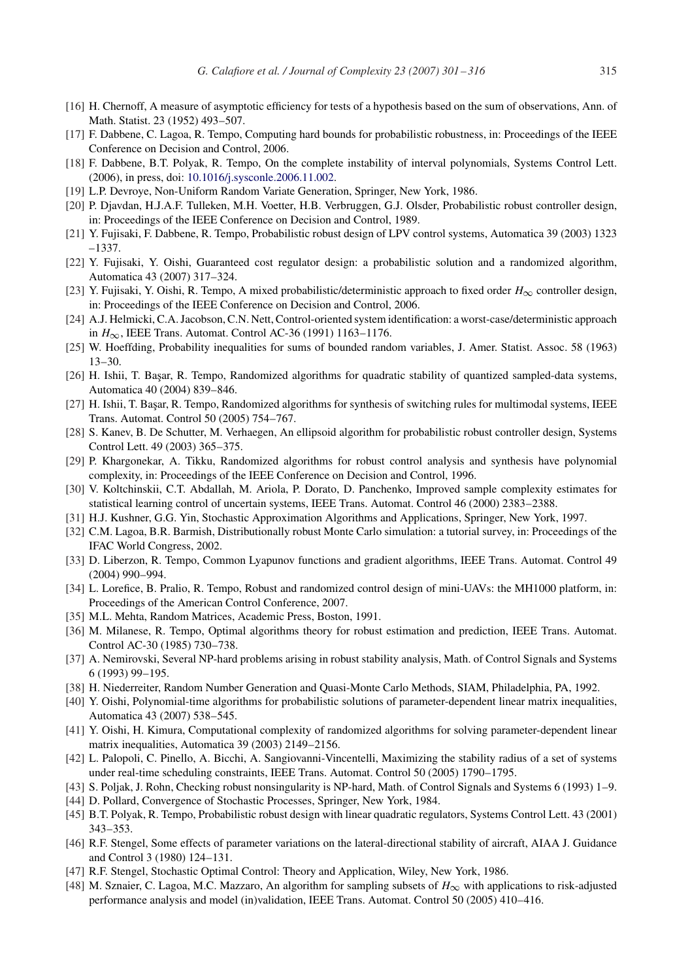- <span id="page-14-0"></span>[16] H. Chernoff, A measure of asymptotic efficiency for tests of a hypothesis based on the sum of observations, Ann. of Math. Statist. 23 (1952) 493–507.
- [17] F. Dabbene, C. Lagoa, R. Tempo, Computing hard bounds for probabilistic robustness, in: Proceedings of the IEEE Conference on Decision and Control, 2006.
- [18] F. Dabbene, B.T. Polyak, R. Tempo, On the complete instability of interval polynomials, Systems Control Lett. (2006), in press, doi: [10.1016/j.sysconle.2006.11.002.](http://dx.doi.org/10.1016/j.sysconle.2006.11.002)
- [19] L.P. Devroye, Non-Uniform Random Variate Generation, Springer, New York, 1986.
- [20] P. Djavdan, H.J.A.F. Tulleken, M.H. Voetter, H.B. Verbruggen, G.J. Olsder, Probabilistic robust controller design, in: Proceedings of the IEEE Conference on Decision and Control, 1989.
- [21] Y. Fujisaki, F. Dabbene, R. Tempo, Probabilistic robust design of LPV control systems, Automatica 39 (2003) 1323 –1337.
- [22] Y. Fujisaki, Y. Oishi, Guaranteed cost regulator design: a probabilistic solution and a randomized algorithm, Automatica 43 (2007) 317–324.
- [23] Y. Fujisaki, Y. Oishi, R. Tempo, A mixed probabilistic/deterministic approach to fixed order  $H_{\infty}$  controller design, in: Proceedings of the IEEE Conference on Decision and Control, 2006.
- [24] A.J. Helmicki, C.A. Jacobson, C.N. Nett, Control-oriented system identification: a worst-case/deterministic approach in  $H_{\infty}$ , IEEE Trans. Automat. Control AC-36 (1991) 1163–1176.
- [25] W. Hoeffding, Probability inequalities for sums of bounded random variables, J. Amer. Statist. Assoc. 58 (1963) 13–30.
- [26] H. Ishii, T. Başar, R. Tempo, Randomized algorithms for quadratic stability of quantized sampled-data systems, Automatica 40 (2004) 839–846.
- [27] H. Ishii, T. Başar, R. Tempo, Randomized algorithms for synthesis of switching rules for multimodal systems, IEEE Trans. Automat. Control 50 (2005) 754–767.
- [28] S. Kanev, B. De Schutter, M. Verhaegen, An ellipsoid algorithm for probabilistic robust controller design, Systems Control Lett. 49 (2003) 365–375.
- [29] P. Khargonekar, A. Tikku, Randomized algorithms for robust control analysis and synthesis have polynomial complexity, in: Proceedings of the IEEE Conference on Decision and Control, 1996.
- [30] V. Koltchinskii, C.T. Abdallah, M. Ariola, P. Dorato, D. Panchenko, Improved sample complexity estimates for statistical learning control of uncertain systems, IEEE Trans. Automat. Control 46 (2000) 2383–2388.
- [31] H.J. Kushner, G.G. Yin, Stochastic Approximation Algorithms and Applications, Springer, New York, 1997.
- [32] C.M. Lagoa, B.R. Barmish, Distributionally robust Monte Carlo simulation: a tutorial survey, in: Proceedings of the IFAC World Congress, 2002.
- [33] D. Liberzon, R. Tempo, Common Lyapunov functions and gradient algorithms, IEEE Trans. Automat. Control 49 (2004) 990–994.
- [34] L. Lorefice, B. Pralio, R. Tempo, Robust and randomized control design of mini-UAVs: the MH1000 platform, in: Proceedings of the American Control Conference, 2007.
- [35] M.L. Mehta, Random Matrices, Academic Press, Boston, 1991.
- [36] M. Milanese, R. Tempo, Optimal algorithms theory for robust estimation and prediction, IEEE Trans. Automat. Control AC-30 (1985) 730–738.
- [37] A. Nemirovski, Several NP-hard problems arising in robust stability analysis, Math. of Control Signals and Systems 6 (1993) 99–195.
- [38] H. Niederreiter, Random Number Generation and Quasi-Monte Carlo Methods, SIAM, Philadelphia, PA, 1992.
- [40] Y. Oishi, Polynomial-time algorithms for probabilistic solutions of parameter-dependent linear matrix inequalities, Automatica 43 (2007) 538–545.
- [41] Y. Oishi, H. Kimura, Computational complexity of randomized algorithms for solving parameter-dependent linear matrix inequalities, Automatica 39 (2003) 2149–2156.
- [42] L. Palopoli, C. Pinello, A. Bicchi, A. Sangiovanni-Vincentelli, Maximizing the stability radius of a set of systems under real-time scheduling constraints, IEEE Trans. Automat. Control 50 (2005) 1790–1795.
- [43] S. Poljak, J. Rohn, Checking robust nonsingularity is NP-hard, Math. of Control Signals and Systems 6 (1993) 1–9.
- [44] D. Pollard, Convergence of Stochastic Processes, Springer, New York, 1984.
- [45] B.T. Polyak, R. Tempo, Probabilistic robust design with linear quadratic regulators, Systems Control Lett. 43 (2001) 343–353.
- [46] R.F. Stengel, Some effects of parameter variations on the lateral-directional stability of aircraft, AIAA J. Guidance and Control 3 (1980) 124–131.
- [47] R.F. Stengel, Stochastic Optimal Control: Theory and Application, Wiley, New York, 1986.
- [48] M. Sznaier, C. Lagoa, M.C. Mazzaro, An algorithm for sampling subsets of  $H_{\infty}$  with applications to risk-adjusted performance analysis and model (in)validation, IEEE Trans. Automat. Control 50 (2005) 410–416.